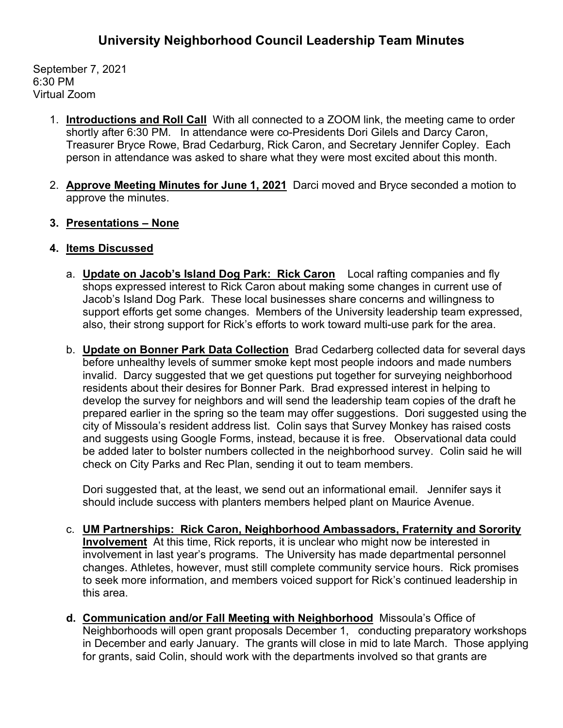September 7, 2021 6:30 PM Virtual Zoom

- 1. **Introductions and Roll Call** With all connected to a ZOOM link, the meeting came to order shortly after 6:30 PM. In attendance were co-Presidents Dori Gilels and Darcy Caron, Treasurer Bryce Rowe, Brad Cedarburg, Rick Caron, and Secretary Jennifer Copley. Each person in attendance was asked to share what they were most excited about this month.
- 2. **Approve Meeting Minutes for June 1, 2021** Darci moved and Bryce seconded a motion to approve the minutes.
- **3. Presentations – None**
- **4. Items Discussed**
	- a. **Update on Jacob's Island Dog Park: Rick Caron** Local rafting companies and fly shops expressed interest to Rick Caron about making some changes in current use of Jacob's Island Dog Park. These local businesses share concerns and willingness to support efforts get some changes. Members of the University leadership team expressed, also, their strong support for Rick's efforts to work toward multi-use park for the area.
	- b. **Update on Bonner Park Data Collection** Brad Cedarberg collected data for several days before unhealthy levels of summer smoke kept most people indoors and made numbers invalid. Darcy suggested that we get questions put together for surveying neighborhood residents about their desires for Bonner Park. Brad expressed interest in helping to develop the survey for neighbors and will send the leadership team copies of the draft he prepared earlier in the spring so the team may offer suggestions. Dori suggested using the city of Missoula's resident address list. Colin says that Survey Monkey has raised costs and suggests using Google Forms, instead, because it is free. Observational data could be added later to bolster numbers collected in the neighborhood survey. Colin said he will check on City Parks and Rec Plan, sending it out to team members.

Dori suggested that, at the least, we send out an informational email. Jennifer says it should include success with planters members helped plant on Maurice Avenue.

- c. **UM Partnerships: Rick Caron, Neighborhood Ambassadors, Fraternity and Sorority Involvement** At this time, Rick reports, it is unclear who might now be interested in involvement in last year's programs. The University has made departmental personnel changes. Athletes, however, must still complete community service hours. Rick promises to seek more information, and members voiced support for Rick's continued leadership in this area.
- **d. Communication and/or Fall Meeting with Neighborhood** Missoula's Office of Neighborhoods will open grant proposals December 1, conducting preparatory workshops in December and early January. The grants will close in mid to late March. Those applying for grants, said Colin, should work with the departments involved so that grants are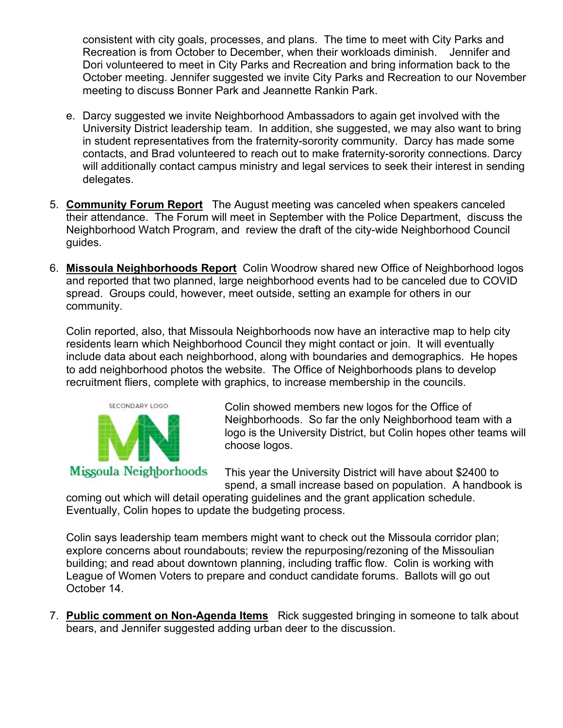consistent with city goals, processes, and plans. The time to meet with City Parks and Recreation is from October to December, when their workloads diminish. Jennifer and Dori volunteered to meet in City Parks and Recreation and bring information back to the October meeting. Jennifer suggested we invite City Parks and Recreation to our November meeting to discuss Bonner Park and Jeannette Rankin Park.

- e. Darcy suggested we invite Neighborhood Ambassadors to again get involved with the University District leadership team. In addition, she suggested, we may also want to bring in student representatives from the fraternity-sorority community. Darcy has made some contacts, and Brad volunteered to reach out to make fraternity-sorority connections. Darcy will additionally contact campus ministry and legal services to seek their interest in sending delegates.
- 5. **Community Forum Report** The August meeting was canceled when speakers canceled their attendance. The Forum will meet in September with the Police Department, discuss the Neighborhood Watch Program, and review the draft of the city-wide Neighborhood Council guides.
- 6. **Missoula Neighborhoods Report** Colin Woodrow shared new Office of Neighborhood logos and reported that two planned, large neighborhood events had to be canceled due to COVID spread. Groups could, however, meet outside, setting an example for others in our community.

Colin reported, also, that Missoula Neighborhoods now have an interactive map to help city residents learn which Neighborhood Council they might contact or join. It will eventually include data about each neighborhood, along with boundaries and demographics. He hopes to add neighborhood photos the website. The Office of Neighborhoods plans to develop recruitment fliers, complete with graphics, to increase membership in the councils.



Colin showed members new logos for the Office of Neighborhoods. So far the only Neighborhood team with a logo is the University District, but Colin hopes other teams will choose logos.

This year the University District will have about \$2400 to spend, a small increase based on population. A handbook is

coming out which will detail operating guidelines and the grant application schedule. Eventually, Colin hopes to update the budgeting process.

Colin says leadership team members might want to check out the Missoula corridor plan; explore concerns about roundabouts; review the repurposing/rezoning of the Missoulian building; and read about downtown planning, including traffic flow. Colin is working with League of Women Voters to prepare and conduct candidate forums. Ballots will go out October 14.

7. **Public comment on Non-Agenda Items** Rick suggested bringing in someone to talk about bears, and Jennifer suggested adding urban deer to the discussion.